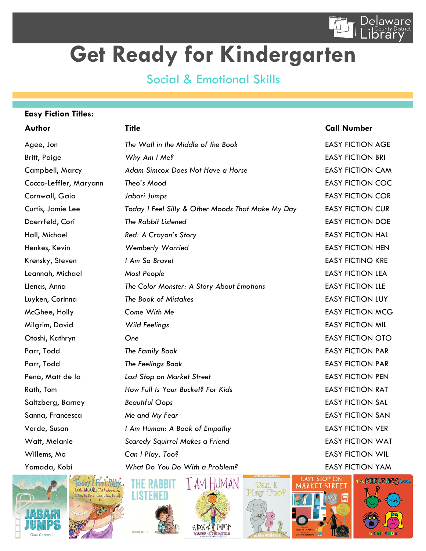

## **Get Ready for Kindergarten**

## Social & Emotional Skills

### **Easy Fiction Titles:**

## **Author Title Call Number** Agee, Jon *The Wall in the Middle of the Book* EASY FICTION AGE Britt, Paige *Why Am I Me?* **EASY FICTION BRI** Campbell, Marcy *Adam Simcox Does Not Have a Horse* EASY FICTION CAM Cocca-Leffler, Maryann *Theo's Mood* EASY FICTION COC Cornwall, Gaia *Jabari Jumps* EASY FICTION COR Curtis, Jamie Lee *Today I Feel Silly & Other Moods That Make My Day* EASY FICTION CUR **Doerrfeld, Cori The Rabbit Listened EASY FICTION DOE** Hall, Michael *Red: A Crayon's Story* EASY FICTION HAL Henkes, Kevin *Wemberly Worried* EASY FICTION HEN Krensky, Steven *I Am So Brave!* EASY FICTINO KRE Leannah, Michael *Most People* EASY FICTION LEA Llenas, Anna *The Color Monster: A Story About Emotions* EASY FICTION LLE Luyken, Corinna *The Book of Mistakes* EASY FICTION LUY McGhee, Holly *Come With Me* EASY FICTION MCG Milgrim, David *Wild Feelings* EASY FICTION MIL Otoshi, Kathryn *One* EASY FICTION OTO Parr, Todd **The Family Book EASY FICTION PAR** Parr, Todd *The Feelings Book* EASY FICTION PAR Pena, Matt de la *Last Stop on Market Street* EASY FICTION PEN Rath, Tom **How Full Is Your Bucket? For Kids EASY FICTION RAT** Saltzberg, Barney *Beautiful Oops* EASY FICTION SAL Sanna, Francesca **Me and My Fear EASY FICTION SAN** Verde, Susan *I Am Human: A Book of Empathy* EASY FICTION VER Watt, Melanie *Scaredy Squirrel Makes a Friend* EASY FICTION WAT Willems, Mo **Can I Play, Too? CALC CAN A POST CAN A CAN A POINT CAN A POINT CAN A POINT CAN A POINT CAN A POINT CAN A POINT CAN A POINT CAN A POINT CAN A POINT CAN A POINT CAN A POINT CAN A POINT CAN A POINT CAN A POINT** Yamada, Kobi *What Do You Do With a Problem?* EASY FICTION YAM